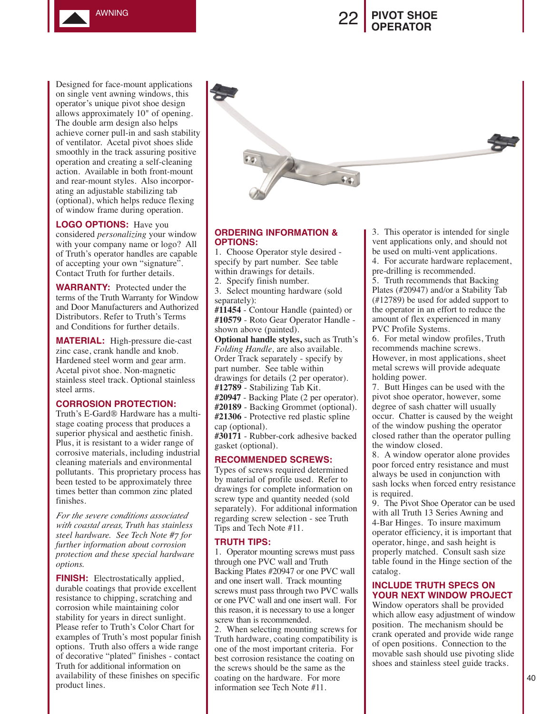

# **PIVOT SHOE OPERATOR**

Designed for face-mount applications on single vent awning windows, this operator's unique pivot shoe design allows approximately 10" of opening. The double arm design also helps achieve corner pull-in and sash stability of ventilator. Acetal pivot shoes slide smoothly in the track assuring positive operation and creating a self-cleaning action. Available in both front-mount and rear-mount styles. Also incorporating an adjustable stabilizing tab (optional), which helps reduce flexing of window frame during operation.

**LOGO OPTIONS:** Have you considered *personalizing* your window with your company name or logo? All of Truth's operator handles are capable of accepting your own "signature". Contact Truth for further details.

**WARRANTY:** Protected under the terms of the Truth Warranty for Window and Door Manufacturers and Authorized Distributors. Refer to Truth's Terms and Conditions for further details.

**MATERIAL:** High-pressure die-cast zinc case, crank handle and knob. Hardened steel worm and gear arm. Acetal pivot shoe. Non-magnetic stainless steel track. Optional stainless steel arms.

### **CORROSION PROTECTION:**

Truth's E-Gard® Hardware has a multistage coating process that produces a superior physical and aesthetic finish. Plus, it is resistant to a wider range of corrosive materials, including industrial cleaning materials and environmental pollutants. This proprietary process has been tested to be approximately three times better than common zinc plated finishes.

*For the severe conditions associated with coastal areas, Truth has stainless steel hardware. See Tech Note #7 for further information about corrosion protection and these special hardware options.* 

**FINISH:** Electrostatically applied, durable coatings that provide excellent resistance to chipping, scratching and corrosion while maintaining color stability for years in direct sunlight. Please refer to Truth's Color Chart for examples of Truth's most popular finish options. Truth also offers a wide range of decorative "plated" finishes - contact Truth for additional information on availability of these finishes on specific product lines.

## **ORDERING INFORMATION & OPTIONS:**

1. Choose Operator style desired specify by part number. See table within drawings for details.

2. Specify finish number.

3. Select mounting hardware (sold separately):

**#11454** - Contour Handle (painted) or **#10579** - Roto Gear Operator Handle shown above (painted).

**Optional handle styles,** such as Truth's *Folding Handle,* are also available. Order Track separately - specify by part number. See table within drawings for details (2 per operator).

**#12789** - Stabilizing Tab Kit.

**#20947** - Backing Plate (2 per operator). **#20189** - Backing Grommet (optional).

**#21306** - Protective red plastic spline cap (optional).

**#30171** - Rubber-cork adhesive backed gasket (optional).

### **RECOMMENDED SCREWS:**

Types of screws required determined by material of profile used. Refer to drawings for complete information on screw type and quantity needed (sold separately). For additional information regarding screw selection - see Truth Tips and Tech Note #11.

## **TRUTH TIPS:**

1. Operator mounting screws must pass through one PVC wall and Truth Backing Plates #20947 or one PVC wall and one insert wall. Track mounting screws must pass through two PVC walls or one PVC wall and one insert wall. For this reason, it is necessary to use a longer screw than is recommended.

2. When selecting mounting screws for Truth hardware, coating compatibility is one of the most important criteria. For best corrosion resistance the coating on the screws should be the same as the coating on the hardware. For more information see Tech Note #11.

3. This operator is intended for single vent applications only, and should not be used on multi-vent applications.

4. For accurate hardware replacement, pre-drilling is recommended.

5. Truth recommends that Backing Plates (#20947) and/or a Stability Tab (#12789) be used for added support to the operator in an effort to reduce the amount of flex experienced in many PVC Profile Systems.

6. For metal window profiles, Truth recommends machine screws. However, in most applications, sheet metal screws will provide adequate holding power.

7. Butt Hinges can be used with the pivot shoe operator, however, some degree of sash chatter will usually occur. Chatter is caused by the weight of the window pushing the operator closed rather than the operator pulling the window closed.

8. A window operator alone provides poor forced entry resistance and must always be used in conjunction with sash locks when forced entry resistance is required.

9. The Pivot Shoe Operator can be used with all Truth 13 Series Awning and 4-Bar Hinges. To insure maximum operator efficiency, it is important that operator, hinge, and sash height is properly matched. Consult sash size table found in the Hinge section of the catalog.

## **INCLUDE TRUTH SPECS ON YOUR NEXT WINDOW PROJECT**

Window operators shall be provided which allow easy adjustment of window position. The mechanism should be crank operated and provide wide range of open positions. Connection to the movable sash should use pivoting slide shoes and stainless steel guide tracks.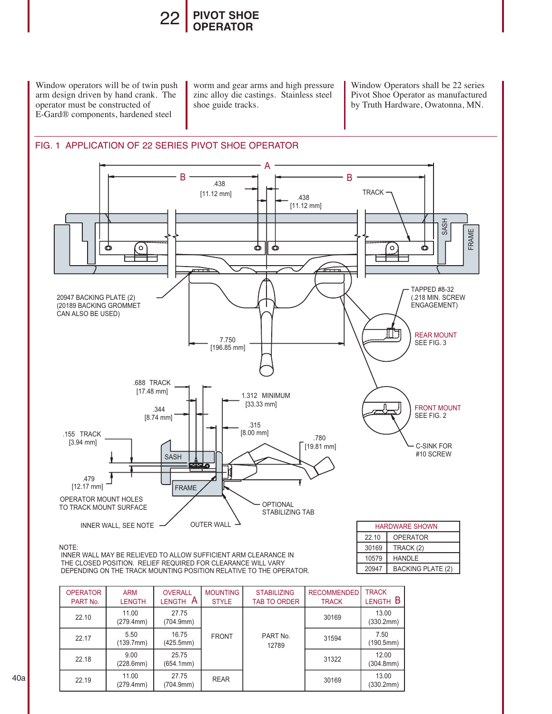

Window operators will be of twin push arm design driven by hand crank. The operator must be constructed of E-Gard® components, hardened steel

worm and gear arms and high pressure zinc alloy die castings. Stainless steel shoe guide tracks.

Window Operators shall be 22 series Pivot Shoe Operator as manufactured by Truth Hardware, Owatonna, MN.

20947 10579 HANDLE

**BACKING PLATE (2)** 



#### NOTE:

 INNER WALL MAY BE RELIEVED TO ALLOW SUFFICIENT ARM CLEARANCE IN THE CLOSED POSITION. RELIEF REQUIRED FOR CLEARANCE WILL VARY DEPENDING ON THE TRACK MOUNTING POSITION RELATIVE TO THE OPERATOR.

| <b>OPERATOR</b><br>PART No. | <b>ARM</b><br><b>LENGTH</b> | <b>OVERALL</b><br>$\overline{A}$<br><b>LENGTH</b> | <b>MOUNTING</b><br><b>STYLE</b> | <b>STABILIZING</b><br><b>TAB TO ORDER</b> | <b>RECOMMENDED</b><br><b>TRACK</b> | <b>TRACK</b><br>LENGTH B |
|-----------------------------|-----------------------------|---------------------------------------------------|---------------------------------|-------------------------------------------|------------------------------------|--------------------------|
| 22.10                       | 11.00<br>(279.4mm)          | 27.75<br>(704.9mm)                                |                                 |                                           | 30169                              | 13.00<br>(330.2mm)       |
| 22.17                       | 5.50<br>(139.7mm)           | 16.75<br>(425.5mm)                                | <b>FRONT</b>                    | PART No.<br>12789                         | 31594                              | 7.50<br>(190.5mm)        |
| 22.18                       | 9.00<br>(228.6mm)           | 25.75<br>(654.1mm)                                |                                 |                                           | 31322                              | 12.00<br>(304.8mm)       |
| 22.19                       | 11.00<br>(279.4mm)          | 27.75<br>(704.9mm)                                | <b>REAR</b>                     |                                           | 30169                              | 13.00<br>(330.2mm)       |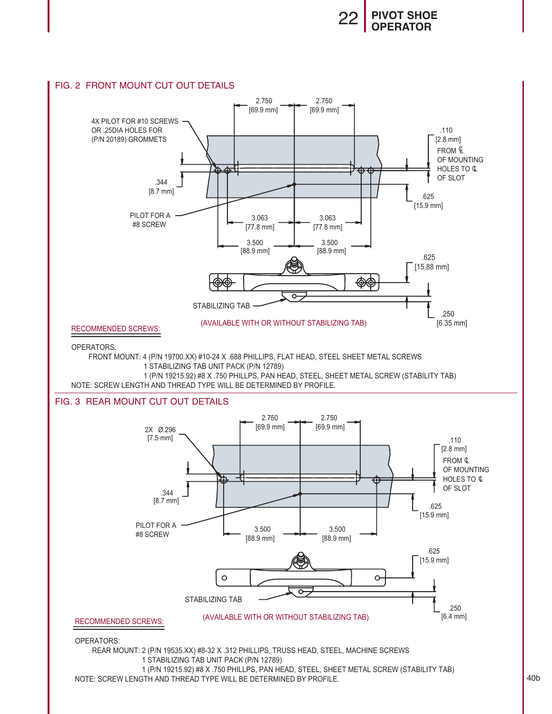